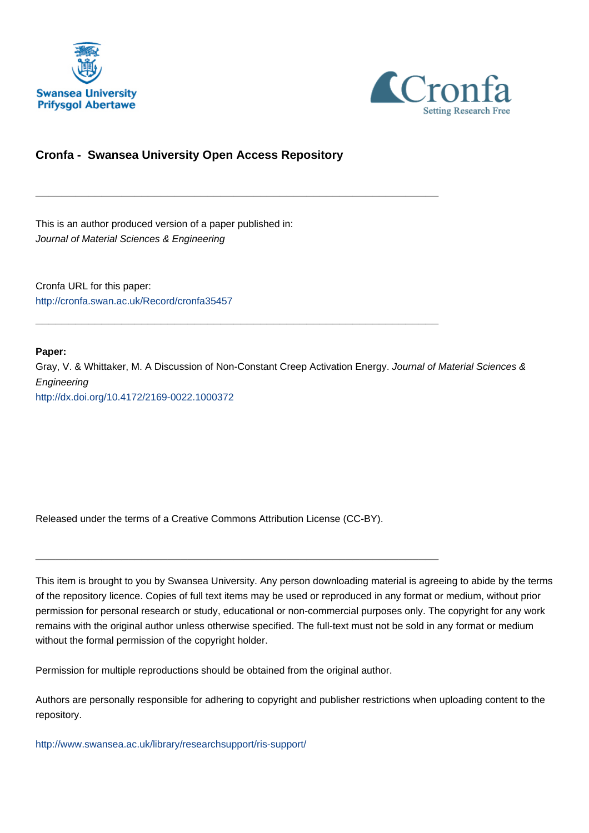



### **Cronfa - Swansea University Open Access Repository**

\_\_\_\_\_\_\_\_\_\_\_\_\_\_\_\_\_\_\_\_\_\_\_\_\_\_\_\_\_\_\_\_\_\_\_\_\_\_\_\_\_\_\_\_\_\_\_\_\_\_\_\_\_\_\_\_\_\_\_\_\_

\_\_\_\_\_\_\_\_\_\_\_\_\_\_\_\_\_\_\_\_\_\_\_\_\_\_\_\_\_\_\_\_\_\_\_\_\_\_\_\_\_\_\_\_\_\_\_\_\_\_\_\_\_\_\_\_\_\_\_\_\_

This is an author produced version of a paper published in: Journal of Material Sciences & Engineering

Cronfa URL for this paper: <http://cronfa.swan.ac.uk/Record/cronfa35457>

#### **Paper:**

Gray, V. & Whittaker, M. A Discussion of Non-Constant Creep Activation Energy. Journal of Material Sciences & Engineering <http://dx.doi.org/10.4172/2169-0022.1000372>

Released under the terms of a Creative Commons Attribution License (CC-BY).

\_\_\_\_\_\_\_\_\_\_\_\_\_\_\_\_\_\_\_\_\_\_\_\_\_\_\_\_\_\_\_\_\_\_\_\_\_\_\_\_\_\_\_\_\_\_\_\_\_\_\_\_\_\_\_\_\_\_\_\_\_

This item is brought to you by Swansea University. Any person downloading material is agreeing to abide by the terms of the repository licence. Copies of full text items may be used or reproduced in any format or medium, without prior permission for personal research or study, educational or non-commercial purposes only. The copyright for any work remains with the original author unless otherwise specified. The full-text must not be sold in any format or medium without the formal permission of the copyright holder.

Permission for multiple reproductions should be obtained from the original author.

Authors are personally responsible for adhering to copyright and publisher restrictions when uploading content to the repository.

[http://www.swansea.ac.uk/library/researchsupport/ris-support/](http://www.swansea.ac.uk/library/researchsupport/ris-support/ )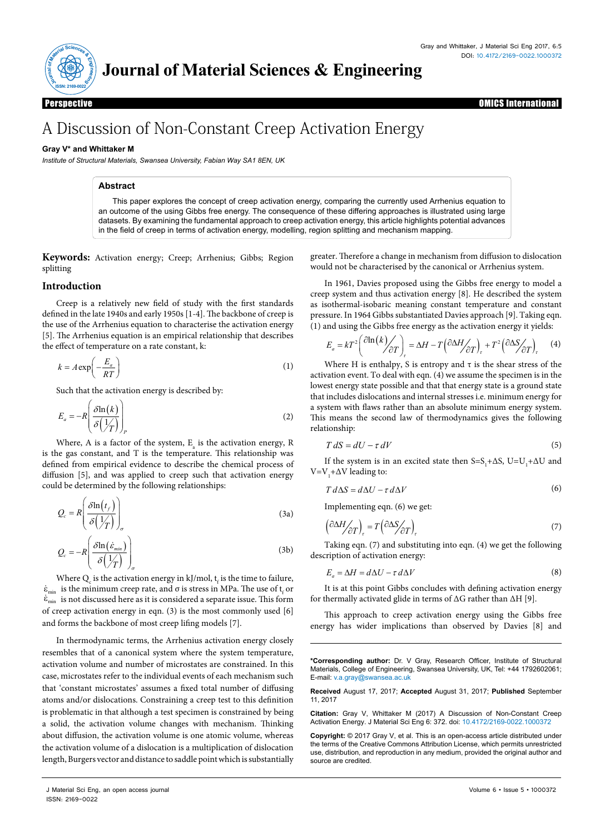

## **Journal of Material Sciences & Engineering**

expective and the control of the control of the control of the control of the control of the control of the control of the control of the control of the control of the control of the control of the control of the control o Perspective OMICS International

# A Discussion of Non-Constant Creep Activation Energy

#### **Gray V\* and Whittaker M**

*Institute of Structural Materials, Swansea University, Fabian Way SA1 8EN, UK*

#### **Abstract**

This paper explores the concept of creep activation energy, comparing the currently used Arrhenius equation to an outcome of the using Gibbs free energy. The consequence of these differing approaches is illustrated using large datasets. By examining the fundamental approach to creep activation energy, this article highlights potential advances in the field of creep in terms of activation energy, modelling, region splitting and mechanism mapping.

**Keywords:** Activation energy; Creep; Arrhenius; Gibbs; Region splitting

#### **Introduction**

Creep is a relatively new field of study with the first standards defined in the late 1940s and early 1950s [1-4]. The backbone of creep is the use of the Arrhenius equation to characterise the activation energy [5]. The Arrhenius equation is an empirical relationship that describes the effect of temperature on a rate constant, k:

$$
k = A \exp\left(-\frac{E_a}{RT}\right) \tag{1}
$$

Such that the activation energy is described by:

$$
E_a = -R \left( \frac{\delta \ln(k)}{\delta \left( \frac{1}{T} \right)} \right)_P \tag{2}
$$

Where, A is a factor of the system,  $E_{a}$  is the activation energy, R is the gas constant, and T is the temperature. This relationship was defined from empirical evidence to describe the chemical process of diffusion [5], and was applied to creep such that activation energy could be determined by the following relationships:

$$
Q_c = R \left( \frac{\delta \ln(t_f)}{\delta \left( \frac{1}{T} \right)} \right)_{\sigma} \tag{3a}
$$

$$
Q_c = -R \left( \frac{\delta \ln(\dot{\varepsilon}_{min})}{\delta \left( \frac{1}{T} \right)} \right)_{\sigma} \tag{3b}
$$

Where  $Q_c$  is the activation energy in kJ/mol,  $t_f$  is the time to failure,  $\varepsilon_{\text{min}}$  is the minimum creep rate, and  $\sigma$  is stress in MPa. The use of  $\mathfrak{t}_{\mathrm{f}}$  or  $\varepsilon_{\text{min}}$  is not discussed here as it is considered a separate issue. This form of creep activation energy in eqn. (3) is the most commonly used [6] and forms the backbone of most creep lifing models [7].

In thermodynamic terms, the Arrhenius activation energy closely resembles that of a canonical system where the system temperature, activation volume and number of microstates are constrained. In this case, microstates refer to the individual events of each mechanism such that 'constant microstates' assumes a fixed total number of diffusing atoms and/or dislocations. Constraining a creep test to this definition is problematic in that although a test specimen is constrained by being a solid, the activation volume changes with mechanism. Thinking about diffusion, the activation volume is one atomic volume, whereas the activation volume of a dislocation is a multiplication of dislocation length, Burgers vector and distance to saddle point which is substantially

greater. Therefore a change in mechanism from diffusion to dislocation would not be characterised by the canonical or Arrhenius system.

In 1961, Davies proposed using the Gibbs free energy to model a creep system and thus activation energy [8]. He described the system as isothermal-isobaric meaning constant temperature and constant pressure. In 1964 Gibbs substantiated Davies approach [9]. Taking eqn. (1) and using the Gibbs free energy as the activation energy it yields:

$$
E_a = kT^2 \left( \frac{\partial \ln(k)}{\partial T} \right)_r = \Delta H - T \left( \frac{\partial \Delta H}{\partial T} \right)_r + T^2 \left( \frac{\partial \Delta S}{\partial T} \right)_r \tag{4}
$$

Where H is enthalpy, S is entropy and  $\tau$  is the shear stress of the activation event. To deal with eqn. (4) we assume the specimen is in the lowest energy state possible and that that energy state is a ground state that includes dislocations and internal stresses i.e. minimum energy for a system with flaws rather than an absolute minimum energy system. This means the second law of thermodynamics gives the following relationship:

$$
T dS = dU - \tau dV \tag{5}
$$

If the system is in an excited state then  $S=S_1+\Delta S$ ,  $U=U_1+\Delta U$  and V=V<sub>1</sub>+ $\Delta$ V leading to:

$$
T d\Delta S = d\Delta U - \tau d\Delta V \tag{6}
$$

Implementing eqn. (6) we get:

$$
\left(\frac{\partial \Delta H}{\partial T}\right)_r = T \left(\frac{\partial \Delta S}{\partial T}\right)_r \tag{7}
$$

Taking eqn. (7) and substituting into eqn. (4) we get the following description of activation energy:

$$
E_a = \Delta H = d\Delta U - \tau \, d\Delta V \tag{8}
$$

It is at this point Gibbs concludes with defining activation energy for thermally activated glide in terms of ΔG rather than ΔH [9].

This approach to creep activation energy using the Gibbs free energy has wider implications than observed by Davies [8] and

**\*Corresponding author:** Dr. V Gray, Research Officer, Institute of Structural Materials, College of Engineering, Swansea University, UK, Tel: +44 1792602061; E-mail: v.a.gray@swansea.ac.uk

**Received** August 17, 2017; **Accepted** August 31, 2017; **Published** September 11, 2017

**Citation:** Gray V, Whittaker M (2017) A Discussion of Non-Constant Creep Activation Energy. J Material Sci Eng 6: 372. doi: 10.4172/2169-0022.1000372

**Copyright:** © 2017 Gray V, et al. This is an open-access article distributed under the terms of the Creative Commons Attribution License, which permits unrestricted use, distribution, and reproduction in any medium, provided the original author and source are credited.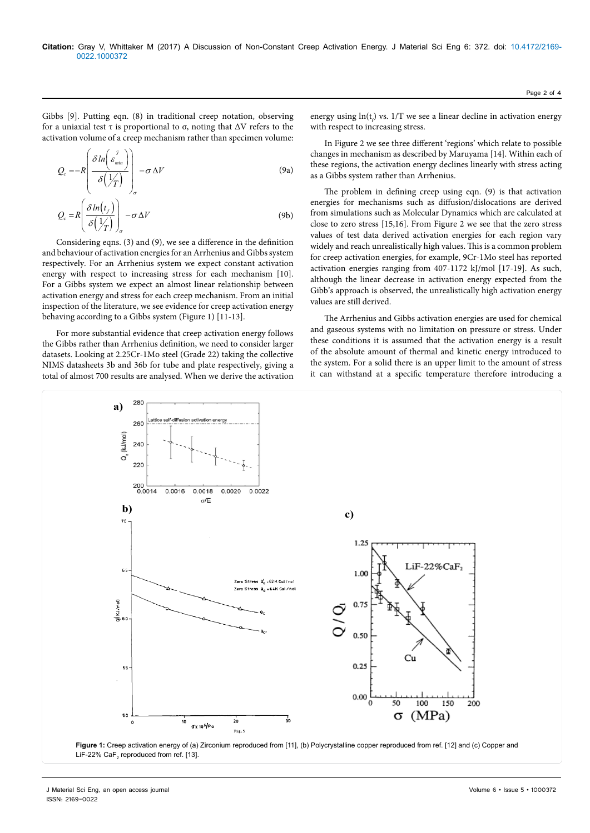Gibbs [9]. Putting eqn. (8) in traditional creep notation, observing for a uniaxial test τ is proportional to σ, noting that ΔV refers to the activation volume of a creep mechanism rather than specimen volume:

$$
Q_c = -R \left( \frac{\delta \ln \begin{pmatrix} s \\ \varepsilon_{min} \end{pmatrix}}{\delta \begin{pmatrix} 1/T \\ T \end{pmatrix}} \right)_\sigma - \sigma \Delta V \tag{9a}
$$

$$
Q_c = R \left( \frac{\delta \ln(t_f)}{\delta \left( \frac{1}{T} \right)} \right)_{\sigma} - \sigma \Delta V \tag{9b}
$$

Considering eqns. (3) and (9), we see a difference in the definition and behaviour of activation energies for an Arrhenius and Gibbs system respectively. For an Arrhenius system we expect constant activation energy with respect to increasing stress for each mechanism [10]. For a Gibbs system we expect an almost linear relationship between activation energy and stress for each creep mechanism. From an initial inspection of the literature, we see evidence for creep activation energy behaving according to a Gibbs system (Figure 1) [11-13].

For more substantial evidence that creep activation energy follows the Gibbs rather than Arrhenius definition, we need to consider larger datasets. Looking at 2.25Cr-1Mo steel (Grade 22) taking the collective NIMS datasheets 3b and 36b for tube and plate respectively, giving a total of almost 700 results are analysed. When we derive the activation

energy using  $ln(t_f)$  vs. 1/T we see a linear decline in activation energy with respect to increasing stress.

In Figure 2 we see three different 'regions' which relate to possible changes in mechanism as described by Maruyama [14]. Within each of these regions, the activation energy declines linearly with stress acting as a Gibbs system rather than Arrhenius.

The problem in defining creep using eqn. (9) is that activation energies for mechanisms such as diffusion/dislocations are derived from simulations such as Molecular Dynamics which are calculated at close to zero stress [15,16]. From Figure 2 we see that the zero stress values of test data derived activation energies for each region vary widely and reach unrealistically high values. This is a common problem for creep activation energies, for example, 9Cr-1Mo steel has reported activation energies ranging from 407-1172 kJ/mol [17-19]. As such, although the linear decrease in activation energy expected from the Gibb's approach is observed, the unrealistically high activation energy values are still derived.

The Arrhenius and Gibbs activation energies are used for chemical and gaseous systems with no limitation on pressure or stress. Under these conditions it is assumed that the activation energy is a result of the absolute amount of thermal and kinetic energy introduced to the system. For a solid there is an upper limit to the amount of stress it can withstand at a specific temperature therefore introducing a



J Material Sci Eng, an open access journal Volume 6 • Issue 5 • 1000372 ISSN: 2169-0022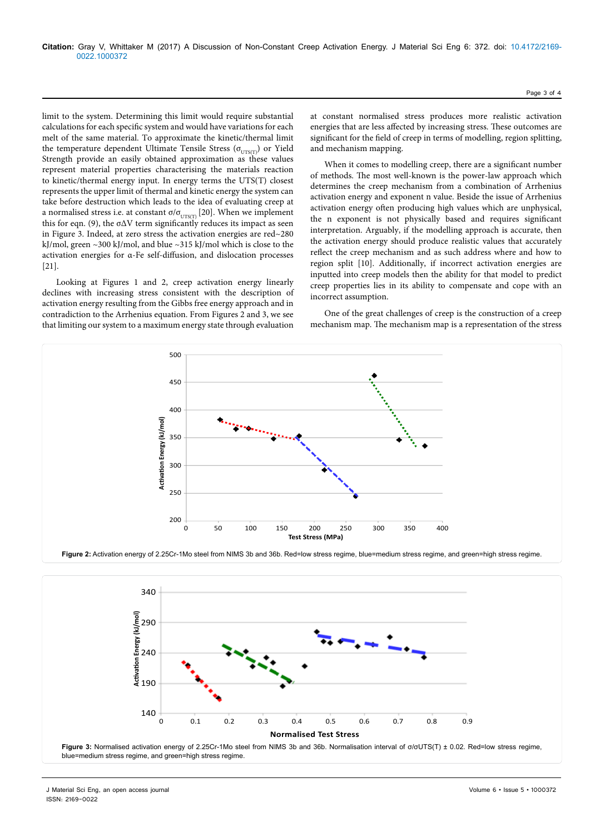limit to the system. Determining this limit would require substantial calculations for each specific system and would have variations for each melt of the same material. To approximate the kinetic/thermal limit the temperature dependent Ultimate Tensile Stress ( $\sigma_{\text{UTS(T)}}$ ) or Yield Strength provide an easily obtained approximation as these values represent material properties characterising the materials reaction to kinetic/thermal energy input. In energy terms the UTS(T) closest represents the upper limit of thermal and kinetic energy the system can take before destruction which leads to the idea of evaluating creep at a normalised stress i.e. at constant σ/σ<sub>UTS(T)</sub> [20]. When we implement this for eqn. (9), the  $\sigma\Delta V$  term significantly reduces its impact as seen in Figure 3. Indeed, at zero stress the activation energies are red~280 kJ/mol, green ~300 kJ/mol, and blue ~315 kJ/mol which is close to the activation energies for α-Fe self-diffusion, and dislocation processes [21].

Looking at Figures 1 and 2, creep activation energy linearly declines with increasing stress consistent with the description of activation energy resulting from the Gibbs free energy approach and in contradiction to the Arrhenius equation. From Figures 2 and 3, we see that limiting our system to a maximum energy state through evaluation

at constant normalised stress produces more realistic activation energies that are less affected by increasing stress. These outcomes are significant for the field of creep in terms of modelling, region splitting, and mechanism mapping.

When it comes to modelling creep, there are a significant number of methods. The most well-known is the power-law approach which determines the creep mechanism from a combination of Arrhenius activation energy and exponent n value. Beside the issue of Arrhenius activation energy often producing high values which are unphysical, the n exponent is not physically based and requires significant interpretation. Arguably, if the modelling approach is accurate, then the activation energy should produce realistic values that accurately reflect the creep mechanism and as such address where and how to region split [10]. Additionally, if incorrect activation energies are inputted into creep models then the ability for that model to predict creep properties lies in its ability to compensate and cope with an incorrect assumption.

One of the great challenges of creep is the construction of a creep mechanism map. The mechanism map is a representation of the stress